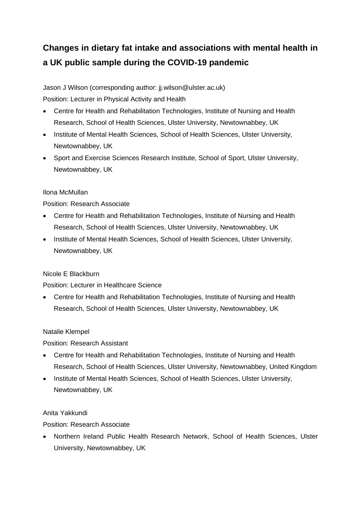# **Changes in dietary fat intake and associations with mental health in a UK public sample during the COVID-19 pandemic**

Jason J Wilson (corresponding author: jj.wilson@ulster.ac.uk) Position: Lecturer in Physical Activity and Health

- Centre for Health and Rehabilitation Technologies, Institute of Nursing and Health Research, School of Health Sciences, Ulster University, Newtownabbey, UK
- Institute of Mental Health Sciences, School of Health Sciences, Ulster University, Newtownabbey, UK
- Sport and Exercise Sciences Research Institute, School of Sport, Ulster University, Newtownabbey, UK

# Ilona McMullan

# Position: Research Associate

- Centre for Health and Rehabilitation Technologies, Institute of Nursing and Health Research, School of Health Sciences, Ulster University, Newtownabbey, UK
- Institute of Mental Health Sciences, School of Health Sciences, Ulster University, Newtownabbey, UK

# Nicole E Blackburn

# Position: Lecturer in Healthcare Science

• Centre for Health and Rehabilitation Technologies, Institute of Nursing and Health Research, School of Health Sciences, Ulster University, Newtownabbey, UK

# Natalie Klempel

# Position: Research Assistant

- Centre for Health and Rehabilitation Technologies, Institute of Nursing and Health Research, School of Health Sciences, Ulster University, Newtownabbey, United Kingdom
- Institute of Mental Health Sciences, School of Health Sciences, Ulster University, Newtownabbey, UK

# Anita Yakkundi

Position: Research Associate

• Northern Ireland Public Health Research Network, School of Health Sciences, Ulster University, Newtownabbey, UK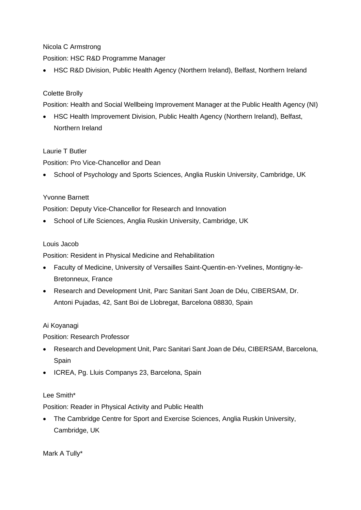# Nicola C Armstrong

Position: HSC R&D Programme Manager

• HSC R&D Division, Public Health Agency (Northern Ireland), Belfast, Northern Ireland

# Colette Brolly

Position: Health and Social Wellbeing Improvement Manager at the Public Health Agency (NI)

• HSC Health Improvement Division, Public Health Agency (Northern Ireland), Belfast, Northern Ireland

# Laurie T Butler

Position: Pro Vice-Chancellor and Dean

• School of Psychology and Sports Sciences, Anglia Ruskin University, Cambridge, UK

# Yvonne Barnett

Position: Deputy Vice-Chancellor for Research and Innovation

• School of Life Sciences, Anglia Ruskin University, Cambridge, UK

## Louis Jacob

Position: Resident in Physical Medicine and Rehabilitation

- Faculty of Medicine, University of Versailles Saint‐Quentin‐en‐Yvelines, Montigny‐le-Bretonneux, France
- Research and Development Unit, Parc Sanitari Sant Joan de Déu, CIBERSAM, Dr. Antoni Pujadas, 42, Sant Boi de Llobregat, Barcelona 08830, Spain

# Ai Koyanagi

Position: Research Professor

- Research and Development Unit, Parc Sanitari Sant Joan de Déu, CIBERSAM, Barcelona, Spain
- ICREA, Pg. Lluis Companys 23, Barcelona, Spain

### Lee Smith\*

Position: Reader in Physical Activity and Public Health

• The Cambridge Centre for Sport and Exercise Sciences, Anglia Ruskin University, Cambridge, UK

Mark A Tully\*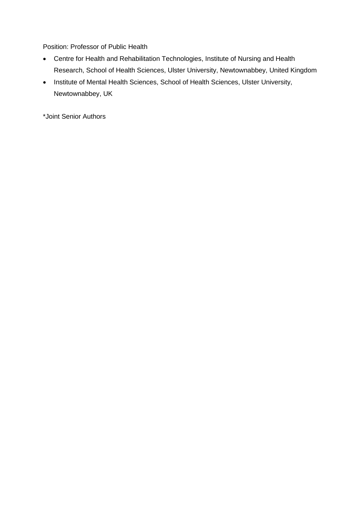Position: Professor of Public Health

- Centre for Health and Rehabilitation Technologies, Institute of Nursing and Health Research, School of Health Sciences, Ulster University, Newtownabbey, United Kingdom
- Institute of Mental Health Sciences, School of Health Sciences, Ulster University, Newtownabbey, UK

\*Joint Senior Authors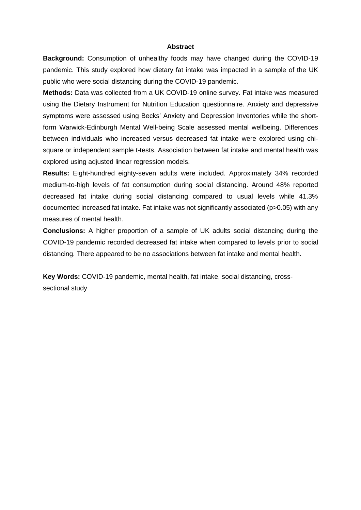#### **Abstract**

**Background:** Consumption of unhealthy foods may have changed during the COVID-19 pandemic. This study explored how dietary fat intake was impacted in a sample of the UK public who were social distancing during the COVID-19 pandemic.

**Methods:** Data was collected from a UK COVID-19 online survey. Fat intake was measured using the Dietary Instrument for Nutrition Education questionnaire. Anxiety and depressive symptoms were assessed using Becks' Anxiety and Depression Inventories while the shortform Warwick-Edinburgh Mental Well-being Scale assessed mental wellbeing. Differences between individuals who increased versus decreased fat intake were explored using chisquare or independent sample t-tests. Association between fat intake and mental health was explored using adjusted linear regression models.

**Results:** Eight-hundred eighty-seven adults were included. Approximately 34% recorded medium-to-high levels of fat consumption during social distancing. Around 48% reported decreased fat intake during social distancing compared to usual levels while 41.3% documented increased fat intake. Fat intake was not significantly associated (p>0.05) with any measures of mental health.

**Conclusions:** A higher proportion of a sample of UK adults social distancing during the COVID-19 pandemic recorded decreased fat intake when compared to levels prior to social distancing. There appeared to be no associations between fat intake and mental health.

**Key Words:** COVID-19 pandemic, mental health, fat intake, social distancing, crosssectional study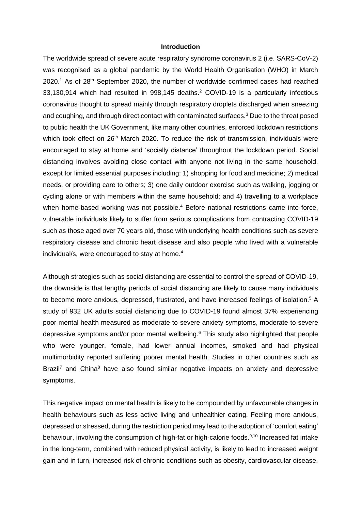#### **Introduction**

The worldwide spread of severe acute respiratory syndrome coronavirus 2 (i.e. SARS-CoV-2) was recognised as a global pandemic by the World Health Organisation (WHO) in March 2020.<sup>1</sup> As of 28<sup>th</sup> September 2020, the number of worldwide confirmed cases had reached 33,130,914 which had resulted in 998,145 deaths. <sup>2</sup> COVID-19 is a particularly infectious coronavirus thought to spread mainly through respiratory droplets discharged when sneezing and coughing, and through direct contact with contaminated surfaces.<sup>3</sup> Due to the threat posed to public health the UK Government, like many other countries, enforced lockdown restrictions which took effect on 26<sup>th</sup> March 2020. To reduce the risk of transmission, individuals were encouraged to stay at home and 'socially distance' throughout the lockdown period. Social distancing involves avoiding close contact with anyone not living in the same household. except for limited essential purposes including: 1) shopping for food and medicine; 2) medical needs, or providing care to others; 3) one daily outdoor exercise such as walking, jogging or cycling alone or with members within the same household; and 4) travelling to a workplace when home-based working was not possible. <sup>4</sup> Before national restrictions came into force, vulnerable individuals likely to suffer from serious complications from contracting COVID-19 such as those aged over 70 years old, those with underlying health conditions such as severe respiratory disease and chronic heart disease and also people who lived with a vulnerable individual/s, were encouraged to stay at home. 4

Although strategies such as social distancing are essential to control the spread of COVID-19, the downside is that lengthy periods of social distancing are likely to cause many individuals to become more anxious, depressed, frustrated, and have increased feelings of isolation.<sup>5</sup> A study of 932 UK adults social distancing due to COVID-19 found almost 37% experiencing poor mental health measured as moderate-to-severe anxiety symptoms, moderate-to-severe depressive symptoms and/or poor mental wellbeing. <sup>6</sup> This study also highlighted that people who were younger, female, had lower annual incomes, smoked and had physical multimorbidity reported suffering poorer mental health. Studies in other countries such as Brazil<sup>7</sup> and China<sup>8</sup> have also found similar negative impacts on anxiety and depressive symptoms.

This negative impact on mental health is likely to be compounded by unfavourable changes in health behaviours such as less active living and unhealthier eating. Feeling more anxious, depressed or stressed, during the restriction period may lead to the adoption of 'comfort eating' behaviour, involving the consumption of high-fat or high-calorie foods.<sup>9,10</sup> Increased fat intake in the long-term, combined with reduced physical activity, is likely to lead to increased weight gain and in turn, increased risk of chronic conditions such as obesity, cardiovascular disease,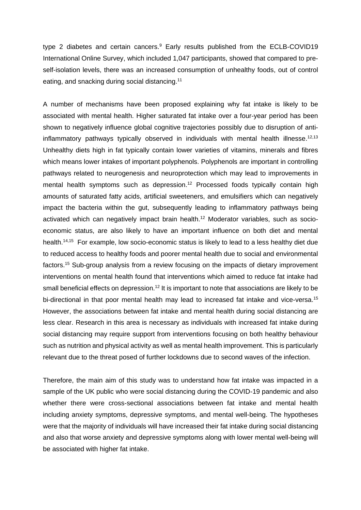type 2 diabetes and certain cancers.<sup>9</sup> Early results published from the ECLB-COVID19 International Online Survey, which included 1,047 participants, showed that compared to preself-isolation levels, there was an increased consumption of unhealthy foods, out of control eating, and snacking during social distancing. 11

A number of mechanisms have been proposed explaining why fat intake is likely to be associated with mental health. Higher saturated fat intake over a four-year period has been shown to negatively influence global cognitive trajectories possibly due to disruption of antiinflammatory pathways typically observed in individuals with mental health illnesse.<sup>12,13</sup> Unhealthy diets high in fat typically contain lower varieties of vitamins, minerals and fibres which means lower intakes of important polyphenols. Polyphenols are important in controlling pathways related to neurogenesis and neuroprotection which may lead to improvements in mental health symptoms such as depression. <sup>12</sup> Processed foods typically contain high amounts of saturated fatty acids, artificial sweeteners, and emulsifiers which can negatively impact the bacteria within the gut, subsequently leading to inflammatory pathways being activated which can negatively impact brain health. <sup>12</sup> Moderator variables, such as socioeconomic status, are also likely to have an important influence on both diet and mental health.<sup>14,15</sup> For example, low socio-economic status is likely to lead to a less healthy diet due to reduced access to healthy foods and poorer mental health due to social and environmental factors.<sup>15</sup> Sub-group analysis from a review focusing on the impacts of dietary improvement interventions on mental health found that interventions which aimed to reduce fat intake had small beneficial effects on depression.<sup>12</sup> It is important to note that associations are likely to be bi-directional in that poor mental health may lead to increased fat intake and vice-versa.<sup>15</sup> However, the associations between fat intake and mental health during social distancing are less clear. Research in this area is necessary as individuals with increased fat intake during social distancing may require support from interventions focusing on both healthy behaviour such as nutrition and physical activity as well as mental health improvement. This is particularly relevant due to the threat posed of further lockdowns due to second waves of the infection.

Therefore, the main aim of this study was to understand how fat intake was impacted in a sample of the UK public who were social distancing during the COVID-19 pandemic and also whether there were cross-sectional associations between fat intake and mental health including anxiety symptoms, depressive symptoms, and mental well-being. The hypotheses were that the majority of individuals will have increased their fat intake during social distancing and also that worse anxiety and depressive symptoms along with lower mental well-being will be associated with higher fat intake.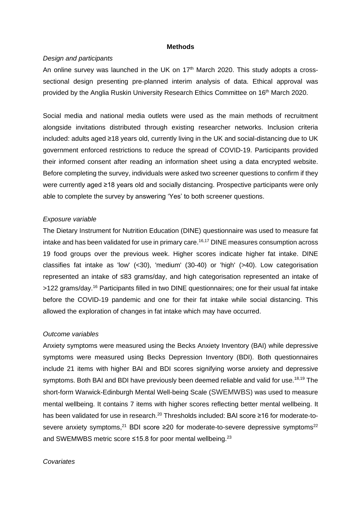#### **Methods**

#### *Design and participants*

An online survey was launched in the UK on  $17<sup>th</sup>$  March 2020. This study adopts a crosssectional design presenting pre-planned interim analysis of data. Ethical approval was provided by the Anglia Ruskin University Research Ethics Committee on 16<sup>th</sup> March 2020.

Social media and [national media](https://www.bbc.co.uk/news/live/uk-england-52020641?ns_mchannel=social&ns_source=twitter&ns_campaign=bbc_live&ns_linkname=5e7cc2e144c1f90671a42f4d%26How%20is%20self-isolating%20affecting%20you%3F%262020-03-26T15%3A09%3A30.568Z&ns_fee=0&pinned_post_locator=urn:asset:6dc6e06d-623e-4048-827a-384afc3e37d3&pinned_post_asset_id=5e7cc2e144c1f90671a42f4d&pinned_post_type=share) outlets were used as the main methods of recruitment alongside invitations distributed through existing researcher networks. Inclusion criteria included: adults aged ≥18 years old, currently living in the UK and social-distancing due to UK government enforced restrictions to reduce the spread of COVID-19. Participants provided their informed consent after reading an information sheet using a data encrypted website. Before completing the survey, individuals were asked two screener questions to confirm if they were currently aged ≥18 years old and socially distancing. Prospective participants were only able to complete the survey by answering 'Yes' to both screener questions.

#### *Exposure variable*

The Dietary Instrument for Nutrition Education (DINE) questionnaire was used to measure fat intake and has been validated for use in primary care. 16,17 DINE measures consumption across 19 food groups over the previous week. Higher scores indicate higher fat intake. DINE classifies fat intake as 'low' (<30), 'medium' (30-40) or 'high' (>40). Low categorisation represented an intake of ≤83 grams/day, and high categorisation represented an intake of >122 grams/day.<sup>16</sup> Participants filled in two DINE questionnaires; one for their usual fat intake before the COVID-19 pandemic and one for their fat intake while social distancing. This allowed the exploration of changes in fat intake which may have occurred.

#### *Outcome variables*

Anxiety symptoms were measured using the Becks Anxiety Inventory (BAI) while depressive symptoms were measured using Becks Depression Inventory (BDI). Both questionnaires include 21 items with higher BAI and BDI scores signifying worse anxiety and depressive symptoms. Both BAI and BDI have previously been deemed reliable and valid for use.<sup>18,19</sup> The short-form Warwick-Edinburgh Mental Well-being Scale (SWEMWBS) was used to measure mental wellbeing. It contains 7 items with higher scores reflecting better mental wellbeing. It has been validated for use in research.<sup>20</sup> Thresholds included: BAI score ≥16 for moderate-tosevere anxiety symptoms,<sup>21</sup> BDI score  $\geq$ 20 for moderate-to-severe depressive symptoms<sup>22</sup> and SWEMWBS metric score ≤15.8 for poor mental wellbeing.<sup>23</sup>

#### *Covariates*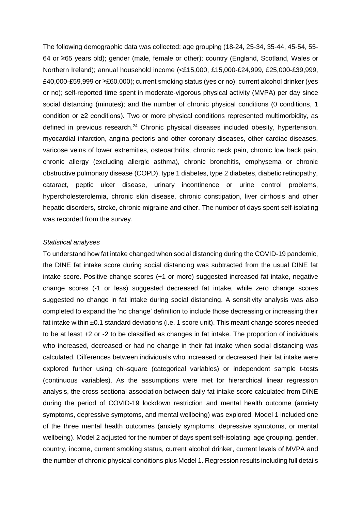The following demographic data was collected: age grouping (18-24, 25-34, 35-44, 45-54, 55- 64 or ≥65 years old); gender (male, female or other); country (England, Scotland, Wales or Northern Ireland); annual household income (<£15,000, £15,000-£24,999, £25,000-£39,999, £40,000-£59,999 or ≥£60,000); current smoking status (yes or no); current alcohol drinker (yes or no); self-reported time spent in moderate-vigorous physical activity (MVPA) per day since social distancing (minutes); and the number of chronic physical conditions (0 conditions, 1 condition or ≥2 conditions). Two or more physical conditions represented multimorbidity, as defined in previous research.<sup>24</sup> Chronic physical diseases included obesity, hypertension, myocardial infarction, angina pectoris and other coronary diseases, other cardiac diseases, varicose veins of lower extremities, osteoarthritis, chronic neck pain, chronic low back pain, chronic allergy (excluding allergic asthma), chronic bronchitis, emphysema or chronic obstructive pulmonary disease (COPD), type 1 diabetes, type 2 diabetes, diabetic retinopathy, cataract, peptic ulcer disease, urinary incontinence or urine control problems, hypercholesterolemia, chronic skin disease, chronic constipation, liver cirrhosis and other hepatic disorders, stroke, chronic migraine and other. The number of days spent self-isolating was recorded from the survey.

#### *Statistical analyses*

To understand how fat intake changed when social distancing during the COVID-19 pandemic, the DINE fat intake score during social distancing was subtracted from the usual DINE fat intake score. Positive change scores (+1 or more) suggested increased fat intake, negative change scores (-1 or less) suggested decreased fat intake, while zero change scores suggested no change in fat intake during social distancing. A sensitivity analysis was also completed to expand the 'no change' definition to include those decreasing or increasing their fat intake within ±0.1 standard deviations (i.e. 1 score unit). This meant change scores needed to be at least +2 or -2 to be classified as changes in fat intake. The proportion of individuals who increased, decreased or had no change in their fat intake when social distancing was calculated. Differences between individuals who increased or decreased their fat intake were explored further using chi-square (categorical variables) or independent sample t-tests (continuous variables). As the assumptions were met for hierarchical linear regression analysis, the cross-sectional association between daily fat intake score calculated from DINE during the period of COVID-19 lockdown restriction and mental health outcome (anxiety symptoms, depressive symptoms, and mental wellbeing) was explored. Model 1 included one of the three mental health outcomes (anxiety symptoms, depressive symptoms, or mental wellbeing). Model 2 adjusted for the number of days spent self-isolating, age grouping, gender, country, income, current smoking status, current alcohol drinker, current levels of MVPA and the number of chronic physical conditions plus Model 1. Regression results including full details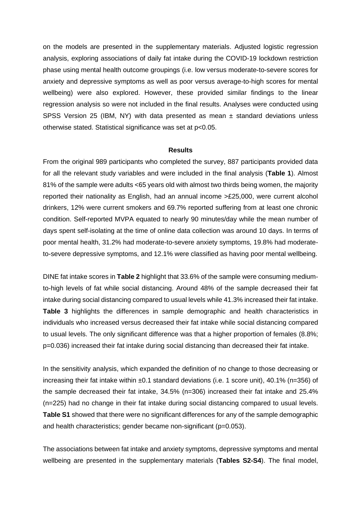on the models are presented in the supplementary materials. Adjusted logistic regression analysis, exploring associations of daily fat intake during the COVID-19 lockdown restriction phase using mental health outcome groupings (i.e. low versus moderate-to-severe scores for anxiety and depressive symptoms as well as poor versus average-to-high scores for mental wellbeing) were also explored. However, these provided similar findings to the linear regression analysis so were not included in the final results. Analyses were conducted using SPSS Version 25 (IBM, NY) with data presented as mean ± standard deviations unless otherwise stated. Statistical significance was set at p<0.05.

#### **Results**

From the original 989 participants who completed the survey, 887 participants provided data for all the relevant study variables and were included in the final analysis (**Table 1**). Almost 81% of the sample were adults <65 years old with almost two thirds being women, the majority reported their nationality as English, had an annual income >£25,000, were current alcohol drinkers, 12% were current smokers and 69.7% reported suffering from at least one chronic condition. Self-reported MVPA equated to nearly 90 minutes/day while the mean number of days spent self-isolating at the time of online data collection was around 10 days. In terms of poor mental health, 31.2% had moderate-to-severe anxiety symptoms, 19.8% had moderateto-severe depressive symptoms, and 12.1% were classified as having poor mental wellbeing.

DINE fat intake scores in **Table 2** highlight that 33.6% of the sample were consuming mediumto-high levels of fat while social distancing. Around 48% of the sample decreased their fat intake during social distancing compared to usual levels while 41.3% increased their fat intake. **Table 3** highlights the differences in sample demographic and health characteristics in individuals who increased versus decreased their fat intake while social distancing compared to usual levels. The only significant difference was that a higher proportion of females (8.8%; p=0.036) increased their fat intake during social distancing than decreased their fat intake.

In the sensitivity analysis, which expanded the definition of no change to those decreasing or increasing their fat intake within ±0.1 standard deviations (i.e. 1 score unit), 40.1% (n=356) of the sample decreased their fat intake, 34.5% (n=306) increased their fat intake and 25.4% (n=225) had no change in their fat intake during social distancing compared to usual levels. **Table S1** showed that there were no significant differences for any of the sample demographic and health characteristics; gender became non-significant (p=0.053).

The associations between fat intake and anxiety symptoms, depressive symptoms and mental wellbeing are presented in the supplementary materials (**Tables S2-S4**). The final model,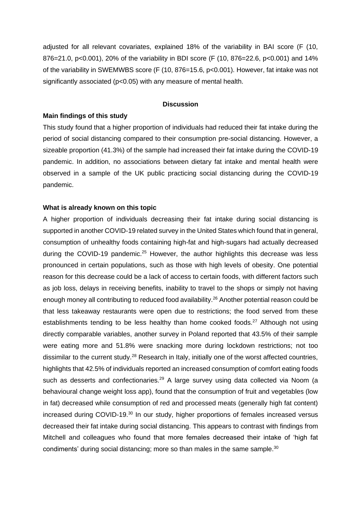adjusted for all relevant covariates, explained 18% of the variability in BAI score (F (10, 876=21.0, p<0.001), 20% of the variability in BDI score (F (10, 876=22.6, p<0.001) and 14% of the variability in SWEMWBS score (F (10, 876=15.6, p<0.001). However, fat intake was not significantly associated ( $p$ <0.05) with any measure of mental health.

### **Discussion**

#### **Main findings of this study**

This study found that a higher proportion of individuals had reduced their fat intake during the period of social distancing compared to their consumption pre-social distancing. However, a sizeable proportion (41.3%) of the sample had increased their fat intake during the COVID-19 pandemic. In addition, no associations between dietary fat intake and mental health were observed in a sample of the UK public practicing social distancing during the COVID-19 pandemic.

#### **What is already known on this topic**

A higher proportion of individuals decreasing their fat intake during social distancing is supported in another COVID-19 related survey in the United States which found that in general, consumption of unhealthy foods containing high-fat and high-sugars had actually decreased during the COVID-19 pandemic.<sup>25</sup> However, the author highlights this decrease was less pronounced in certain populations, such as those with high levels of obesity. One potential reason for this decrease could be a lack of access to certain foods, with different factors such as job loss, delays in receiving benefits, inability to travel to the shops or simply not having enough money all contributing to reduced food availability.<sup>26</sup> Another potential reason could be that less takeaway restaurants were open due to restrictions; the food served from these establishments tending to be less healthy than home cooked foods.<sup>27</sup> Although not using directly comparable variables, another survey in Poland reported that 43.5% of their sample were eating more and 51.8% were snacking more during lockdown restrictions; not too dissimilar to the current study.<sup>28</sup> Research in Italy, initially one of the worst affected countries, highlights that 42.5% of individuals reported an increased consumption of comfort eating foods such as desserts and confectionaries.<sup>29</sup> A large survey using data collected via Noom (a behavioural change weight loss app), found that the consumption of fruit and vegetables (low in fat) decreased while consumption of red and processed meats (generally high fat content) increased during COVID-19.<sup>30</sup> In our study, higher proportions of females increased versus decreased their fat intake during social distancing. This appears to contrast with findings from Mitchell and colleagues who found that more females decreased their intake of 'high fat condiments' during social distancing; more so than males in the same sample.<sup>30</sup>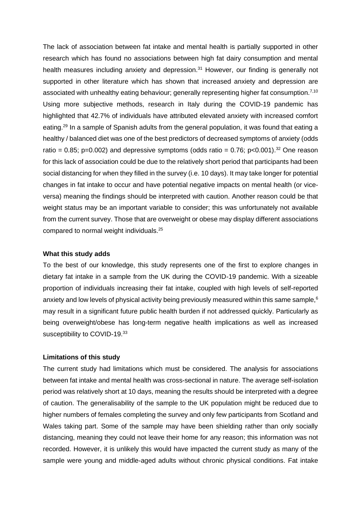The lack of association between fat intake and mental health is partially supported in other research which has found no associations between high fat dairy consumption and mental health measures including anxiety and depression.<sup>31</sup> However, our finding is generally not supported in other literature which has shown that increased anxiety and depression are associated with unhealthy eating behaviour; generally representing higher fat consumption.<sup>7,10</sup> Using more subjective methods, research in Italy during the COVID-19 pandemic has highlighted that 42.7% of individuals have attributed elevated anxiety with increased comfort eating.<sup>29</sup> In a sample of Spanish adults from the general population, it was found that eating a healthy / balanced diet was one of the best predictors of decreased symptoms of anxiety (odds ratio = 0.85; p=0.002) and depressive symptoms (odds ratio = 0.76; p<0.001).<sup>32</sup> One reason for this lack of association could be due to the relatively short period that participants had been social distancing for when they filled in the survey (i.e. 10 days). It may take longer for potential changes in fat intake to occur and have potential negative impacts on mental health (or viceversa) meaning the findings should be interpreted with caution. Another reason could be that weight status may be an important variable to consider; this was unfortunately not available from the current survey. Those that are overweight or obese may display different associations compared to normal weight individuals. 25

#### **What this study adds**

To the best of our knowledge, this study represents one of the first to explore changes in dietary fat intake in a sample from the UK during the COVID-19 pandemic. With a sizeable proportion of individuals increasing their fat intake, coupled with high levels of self-reported anxiety and low levels of physical activity being previously measured within this same sample,<sup>6</sup> may result in a significant future public health burden if not addressed quickly. Particularly as being overweight/obese has long-term negative health implications as well as increased susceptibility to COVID-19.<sup>33</sup>

### **Limitations of this study**

The current study had limitations which must be considered. The analysis for associations between fat intake and mental health was cross-sectional in nature. The average self-isolation period was relatively short at 10 days, meaning the results should be interpreted with a degree of caution. The generalisability of the sample to the UK population might be reduced due to higher numbers of females completing the survey and only few participants from Scotland and Wales taking part. Some of the sample may have been shielding rather than only socially distancing, meaning they could not leave their home for any reason; this information was not recorded. However, it is unlikely this would have impacted the current study as many of the sample were young and middle-aged adults without chronic physical conditions. Fat intake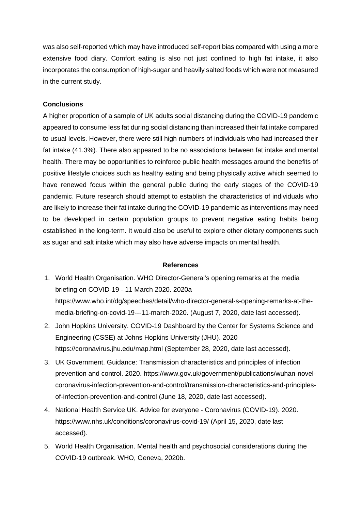was also self-reported which may have introduced self-report bias compared with using a more extensive food diary. Comfort eating is also not just confined to high fat intake, it also incorporates the consumption of high-sugar and heavily salted foods which were not measured in the current study.

## **Conclusions**

A higher proportion of a sample of UK adults social distancing during the COVID-19 pandemic appeared to consume less fat during social distancing than increased their fat intake compared to usual levels. However, there were still high numbers of individuals who had increased their fat intake (41.3%). There also appeared to be no associations between fat intake and mental health. There may be opportunities to reinforce public health messages around the benefits of positive lifestyle choices such as healthy eating and being physically active which seemed to have renewed focus within the general public during the early stages of the COVID-19 pandemic. Future research should attempt to establish the characteristics of individuals who are likely to increase their fat intake during the COVID-19 pandemic as interventions may need to be developed in certain population groups to prevent negative eating habits being established in the long-term. It would also be useful to explore other dietary components such as sugar and salt intake which may also have adverse impacts on mental health.

### **References**

- 1. World Health Organisation. WHO Director-General's opening remarks at the media briefing on COVID-19 - 11 March 2020. 2020a https://www.who.int/dg/speeches/detail/who-director-general-s-opening-remarks-at-themedia-briefing-on-covid-19---11-march-2020. (August 7, 2020, date last accessed).
- 2. John Hopkins University. COVID-19 Dashboard by the Center for Systems Science and Engineering (CSSE) at Johns Hopkins University (JHU). 2020 https://coronavirus.jhu.edu/map.html (September 28, 2020, date last accessed).
- 3. UK Government. Guidance: Transmission characteristics and principles of infection prevention and control. 2020. https://www.gov.uk/government/publications/wuhan-novelcoronavirus-infection-prevention-and-control/transmission-characteristics-and-principlesof-infection-prevention-and-control (June 18, 2020, date last accessed).
- 4. National Health Service UK. Advice for everyone Coronavirus (COVID-19). 2020. https://www.nhs.uk/conditions/coronavirus-covid-19/ (April 15, 2020, date last accessed).
- 5. World Health Organisation. Mental health and psychosocial considerations during the COVID-19 outbreak. WHO, Geneva, 2020b.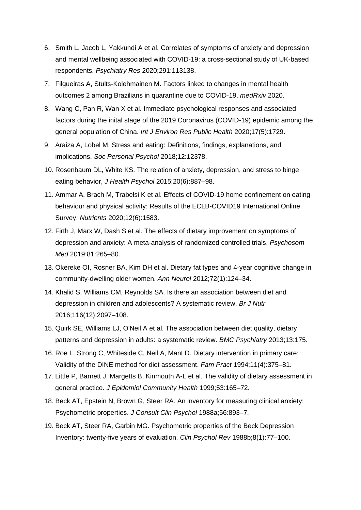- 6. Smith L, Jacob L, Yakkundi A et al. Correlates of symptoms of anxiety and depression and mental wellbeing associated with COVID-19: a cross-sectional study of UK-based respondents. *Psychiatry Res* 2020;291:113138.
- 7. Filgueiras A, Stults-Kolehmainen M. Factors linked to changes in mental health outcomes 2 among Brazilians in quarantine due to COVID-19. *medRxiv* 2020.
- 8. Wang C, Pan R, Wan X et al. Immediate psychological responses and associated factors during the inital stage of the 2019 Coronavirus (COVID-19) epidemic among the general population of China. *Int J Environ Res Public Health* 2020;17(5):1729.
- 9. Araiza A, Lobel M. Stress and eating: Definitions, findings, explanations, and implications. *Soc Personal Psychol* 2018;12:12378.
- 10. Rosenbaum DL, White KS. The relation of anxiety, depression, and stress to binge eating behavior, *J Health Psychol* 2015;20(6):887–98.
- 11. Ammar A, Brach M, Trabelsi K et al. Effects of COVID-19 home confinement on eating behaviour and physical activity: Results of the ECLB-COVID19 International Online Survey. *Nutrients* 2020;12(6):1583.
- 12. Firth J, Marx W, Dash S et al. The effects of dietary improvement on symptoms of depression and anxiety: A meta-analysis of randomized controlled trials, *Psychosom Med* 2019;81:265–80.
- 13. Okereke OI, Rosner BA, Kim DH et al. Dietary fat types and 4-year cognitive change in community-dwelling older women. *Ann Neurol* 2012;72(1):124–34.
- 14. Khalid S, Williams CM, Reynolds SA. Is there an association between diet and depression in children and adolescents? A systematic review. *Br J Nutr* 2016;116(12):2097–108.
- 15. Quirk SE, Williams LJ, O'Neil A et al. The association between diet quality, dietary patterns and depression in adults: a systematic review. *BMC Psychiatry* 2013;13:175.
- 16. Roe L, Strong C, Whiteside C, Neil A, Mant D. Dietary intervention in primary care: Validity of the DINE method for diet assessment. *Fam Pract* 1994;11(4):375–81.
- 17. Little P, Barnett J, Margetts B, Kinmouth A-L et al. The validity of dietary assessment in general practice. *J Epidemiol Community Health* 1999;53:165–72.
- 18. Beck AT, Epstein N, Brown G, Steer RA. An inventory for measuring clinical anxiety: Psychometric properties. *J Consult Clin Psychol* 1988a;56:893–7.
- 19. Beck AT, Steer RA, Garbin MG. Psychometric properties of the Beck Depression Inventory: twenty-five years of evaluation. *Clin Psychol Rev* 1988b;8(1):77–100.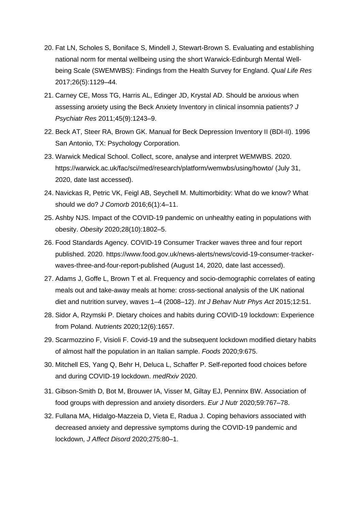- 20. Fat LN, Scholes S, Boniface S, Mindell J, Stewart-Brown S. Evaluating and establishing national norm for mental wellbeing using the short Warwick-Edinburgh Mental Wellbeing Scale (SWEMWBS): Findings from the Health Survey for England. *Qual Life Res* 2017;26(5):1129–44.
- 21. Carney CE, Moss TG, Harris AL, Edinger JD, Krystal AD. Should be anxious when assessing anxiety using the Beck Anxiety Inventory in clinical insomnia patients? *J Psychiatr Res* 2011;45(9):1243–9.
- 22. Beck AT, Steer RA, Brown GK. Manual for Beck Depression Inventory II (BDI-II). 1996 San Antonio, TX: Psychology Corporation.
- 23. Warwick Medical School. Collect, score, analyse and interpret WEMWBS. 2020. https://warwick.ac.uk/fac/sci/med/research/platform/wemwbs/using/howto/ (July 31, 2020, date last accessed).
- 24. Navickas R, Petric VK, Feigl AB, Seychell M. Multimorbidity: What do we know? What should we do? *J Comorb* 2016;6(1):4–11.
- 25. Ashby NJS. Impact of the COVID-19 pandemic on unhealthy eating in populations with obesity. *Obesity* 2020;28(10):1802–5.
- 26. Food Standards Agency. COVID-19 Consumer Tracker waves three and four report published. 2020. https://www.food.gov.uk/news-alerts/news/covid-19-consumer-trackerwaves-three-and-four-report-published (August 14, 2020, date last accessed).
- 27. Adams J, Goffe L, Brown T et al. Frequency and socio-demographic correlates of eating meals out and take-away meals at home: cross-sectional analysis of the UK national diet and nutrition survey, waves 1–4 (2008–12). *Int J Behav Nutr Phys Act* 2015;12:51.
- 28. Sidor A, Rzymski P. Dietary choices and habits during COVID-19 lockdown: Experience from Poland. *Nutrients* 2020;12(6):1657.
- 29. Scarmozzino F, Visioli F. Covid-19 and the subsequent lockdown modified dietary habits of almost half the population in an Italian sample. *Foods* 2020;9:675.
- 30. Mitchell ES, Yang Q, Behr H, Deluca L, Schaffer P. Self-reported food choices before and during COVID-19 lockdown. *medRxiv* 2020.
- 31. Gibson-Smith D, Bot M, Brouwer IA, Visser M, Giltay EJ, Penninx BW. Association of food groups with depression and anxiety disorders. *Eur J Nutr* 2020;59:767–78.
- 32. Fullana MA, Hidalgo-Mazzeia D, Vieta E, Radua J. Coping behaviors associated with decreased anxiety and depressive symptoms during the COVID-19 pandemic and lockdown, *J Affect Disord* 2020;275:80–1.